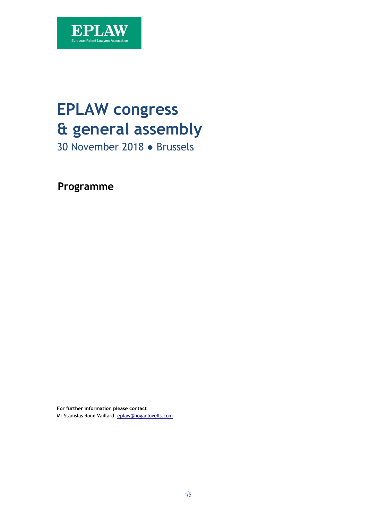

# **EPLAW congress & general assembly**

30 November 2018 ● Brussels

**Programme** 

**For further information please contact**  Mr Stanislas Roux-Vaillard, [eplaw@hoganlovells.com](mailto:eplaw@hoganlovells.com)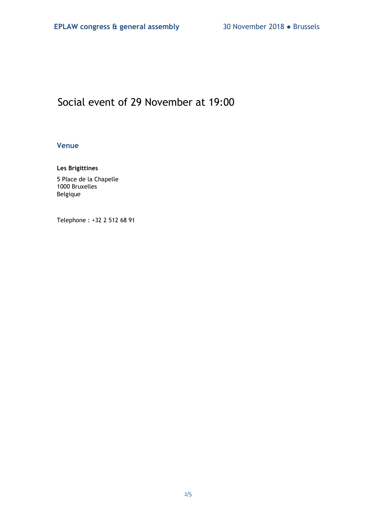# Social event of 29 November at 19:00

## **Venue**

## **Les Brigittines**

5 Place de la Chapelle 1000 Bruxelles Belgique

Telephone : +32 2 512 68 91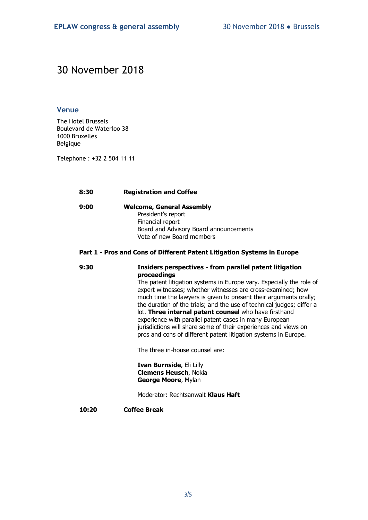# 30 November 2018

#### **Venue**

The Hotel Brussels Boulevard de Waterloo 38 1000 Bruxelles Belgique

Telephone : +32 2 504 11 11

#### **8:30 Registration and Coffee**

**9:00 Welcome, General Assembly**  President's report Financial report Board and Advisory Board announcements Vote of new Board members

# **Part 1 - Pros and Cons of Different Patent Litigation Systems in Europe**

## **9:30 Insiders perspectives - from parallel patent litigation proceedings**

The patent litigation systems in Europe vary. Especially the role of expert witnesses; whether witnesses are cross-examined; how much time the lawyers is given to present their arguments orally; the duration of the trials; and the use of technical judges; differ a lot. **Three internal patent counsel** who have firsthand experience with parallel patent cases in many European jurisdictions will share some of their experiences and views on pros and cons of different patent litigation systems in Europe.

The three in-house counsel are:

**Ivan Burnside**, Eli Lilly **Clemens Heusch**, Nokia **George Moore**, Mylan

Moderator: Rechtsanwalt **Klaus Haft**

**10:20 Coffee Break**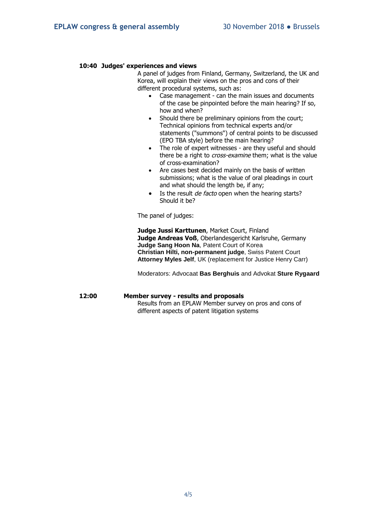#### **10:40 Judges' experiences and views**

A panel of judges from Finland, Germany, Switzerland, the UK and Korea, will explain their views on the pros and cons of their different procedural systems, such as:

- Case management can the main issues and documents of the case be pinpointed before the main hearing? If so, how and when?
- Should there be preliminary opinions from the court; Technical opinions from technical experts and/or statements ("summons") of central points to be discussed (EPO TBA style) before the main hearing?
- The role of expert witnesses are they useful and should there be a right to *cross-examine* them; what is the value of cross-examination?
- Are cases best decided mainly on the basis of written submissions; what is the value of oral pleadings in court and what should the length be, if any;
- Is the result *de facto* open when the hearing starts? Should it be?

The panel of judges:

**Judge Jussi Karttunen**, Market Court, Finland **Judge Andreas Voß**, Oberlandesgericht Karlsruhe, Germany **Judge Sang Hoon Na**, Patent Court of Korea **Christian Hilti, non-permanent judge**, Swiss Patent Court **Attorney Myles Jelf**, UK (replacement for Justice Henry Carr)

Moderators: Advocaat **Bas Berghuis** and Advokat **Sture Rygaard**

#### **12:00 Member survey - results and proposals**

Results from an EPLAW Member survey on pros and cons of different aspects of patent litigation systems